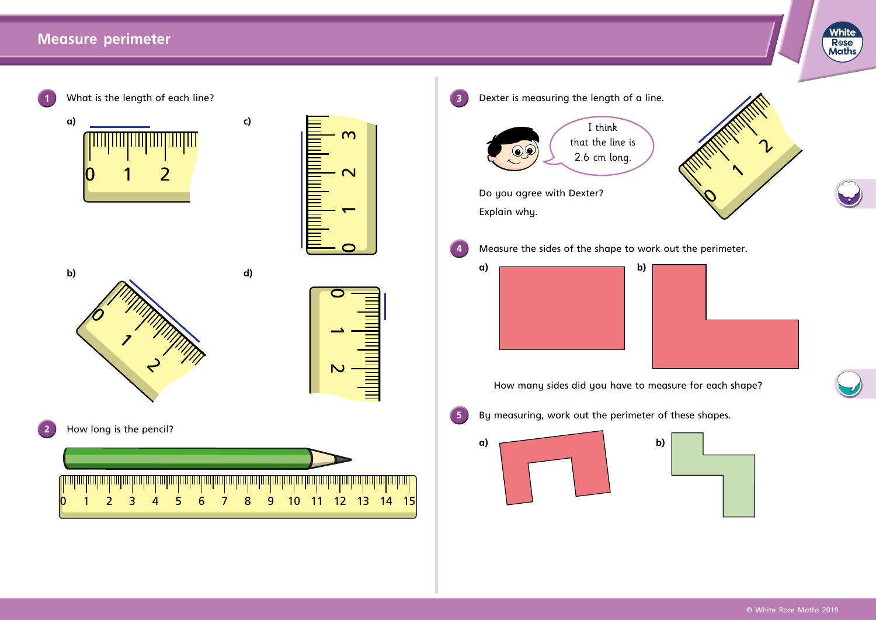## **Measure perimeter**



8

11

6

**White**